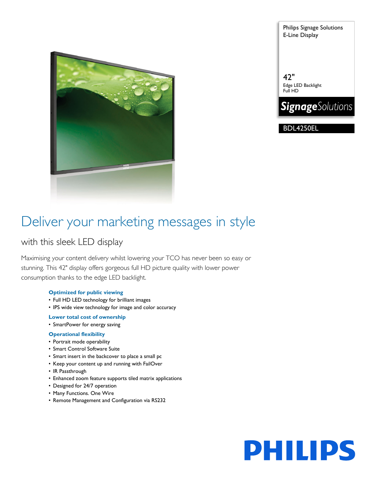

Philips Signage Solutions E-Line Display

42" Edge LED Backlight Full HD



BDL4250EL

## Deliver your marketing messages in style

## with this sleek LED display

Maximising your content delivery whilst lowering your TCO has never been so easy or stunning. This 42" display offers gorgeous full HD picture quality with lower power consumption thanks to the edge LED backlight.

### **Optimized for public viewing**

- Full HD LED technology for brilliant images
- IPS wide view technology for image and color accuracy

### **Lower total cost of ownership**

• SmartPower for energy saving

### **Operational flexibility**

- Portrait mode operability
- Smart Control Software Suite
- Smart insert in the backcover to place a small pc
- Keep your content up and running with FailOver
- IR Passthrough
- Enhanced zoom feature supports tiled matrix applications
- Designed for 24/7 operation
- Many Functions. One Wire
- Remote Management and Configuration via RS232

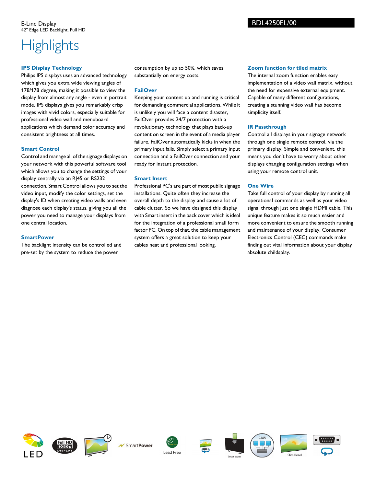# **Highlights**

## **IPS Display Technology**

Philips IPS displays uses an advanced technology which gives you extra wide viewing angles of 178/178 degree, making it possible to view the display from almost any angle - even in portrait mode. IPS displays gives you remarkably crisp images with vivid colors, especially suitable for professional video wall and menuboard applications which demand color accuracy and consistent brightness at all times.

## **Smart Control**

Control and manage all of the signage displays on your network with this powerful software tool which allows you to change the settings of your display centrally via an RJ45 or RS232 connection. Smart Control allows you to set the video input, modify the color settings, set the display's ID when creating video walls and even diagnose each display's status, giving you all the power you need to manage your displays from one central location.

## **SmartPower**

The backlight intensity can be controlled and pre-set by the system to reduce the power

consumption by up to 50%, which saves substantially on energy costs.

## **FailOver**

Keeping your content up and running is critical for demanding commercial applications. While it is unlikely you will face a content disaster, FailOver provides 24/7 protection with a revolutionary technology that plays back-up content on screen in the event of a media player failure. FailOver automatically kicks in when the primary input fails. Simply select a primary input connection and a FailOver connection and your ready for instant protection.

## **Smart Insert**

Professional PC's are part of most public signage installations. Quite often they increase the overall depth to the display and cause a lot of cable clutter. So we have designed this display with Smart insert in the back cover which is ideal for the integration of a professional small form factor PC. On top of that, the cable management system offers a great solution to keep your cables neat and professional looking.

## **Zoom function for tiled matrix**

The internal zoom function enables easy implementation of a video wall matrix, without the need for expensive external equipment. Capable of many different configurations, creating a stunning video wall has become simplicity itself.

## **IR Passthrough**

Control all displays in your signage network through one single remote control, via the primary display. Simple and convenient, this means you don't have to worry about other displays changing configuration settings when using your remote control unit.

## **One Wire**

Take full control of your display by running all operational commands as well as your video signal through just one single HDMI cable. This unique feature makes it so much easier and more convenient to ensure the smooth running and maintenance of your display. Consumer Electronics Control (CEC) commands make finding out vital information about your display absolute childsplay.















Slim Bezel